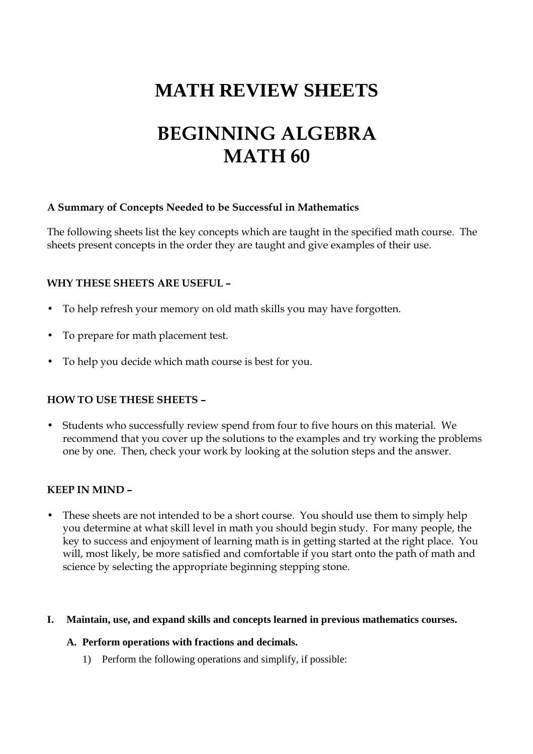# **MATH REVIEW SHEETS**

# **BEGINNING ALGEBRA MATH 60**

# **A Summary of Concepts Needed to be Successful in Mathematics**

The following sheets list the key concepts which are taught in the specified math course. The sheets present concepts in the order they are taught and give examples of their use.

# **WHY THESE SHEETS ARE USEFUL –**

- To help refresh your memory on old math skills you may have forgotten.
- To prepare for math placement test.
- To help you decide which math course is best for you.

# **HOW TO USE THESE SHEETS –**

• Students who successfully review spend from four to five hours on this material. We recommend that you cover up the solutions to the examples and try working the problems one by one. Then, check your work by looking at the solution steps and the answer.

# **KEEP IN MIND –**

These sheets are not intended to be a short course. You should use them to simply help you determine at what skill level in math you should begin study. For many people, the key to success and enjoyment of learning math is in getting started at the right place. You will, most likely, be more satisfied and comfortable if you start onto the path of math and science by selecting the appropriate beginning stepping stone.

# **I. Maintain, use, and expand skills and concepts learned in previous mathematics courses.**

# **A. Perform operations with fractions and decimals.**

1) Perform the following operations and simplify, if possible: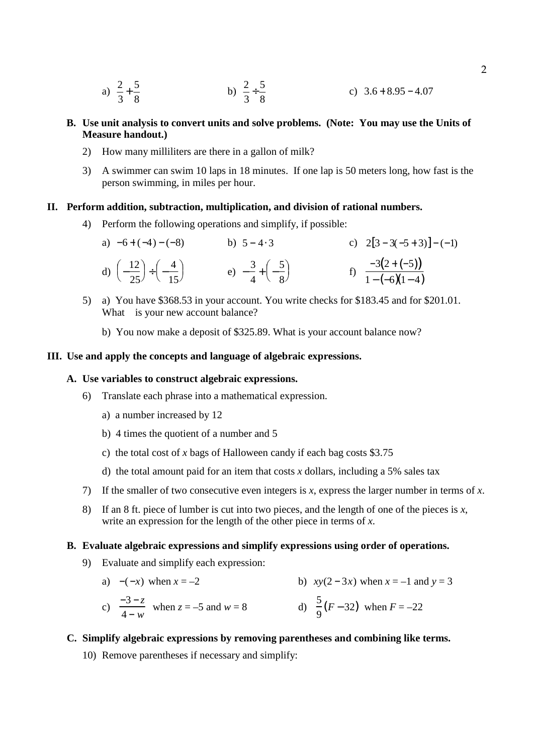- a)  $\frac{2}{3}$ 3  $+\frac{5}{6}$ 8 b)  $\frac{2}{3}$ 3  $\div \frac{5}{9}$ 8 c)  $3.6 + 8.95 - 4.07$
- **B. Use unit analysis to convert units and solve problems. (Note: You may use the Units of Measure handout.)**
	- 2) How many milliliters are there in a gallon of milk?
	- 3) A swimmer can swim 10 laps in 18 minutes. If one lap is 50 meters long, how fast is the person swimming, in miles per hour.

#### **II. Perform addition, subtraction, multiplication, and division of rational numbers.**

4) Perform the following operations and simplify, if possible:

| a) $-6+(-4)-(-8)$                                                | b) $5 - 4.3$                                  | c) $2[3-3(-5+3)]-(-1)$              |
|------------------------------------------------------------------|-----------------------------------------------|-------------------------------------|
| d) $\left(-\frac{12}{25}\right) \div \left(-\frac{4}{15}\right)$ | e) $-\frac{3}{4} + \left(-\frac{5}{8}\right)$ | f) $\frac{-3(2+(-5))}{1-(-6)(1-4)}$ |

- 5) a) You have \$368.53 in your account. You write checks for \$183.45 and for \$201.01. What is your new account balance?
	- b) You now make a deposit of \$325.89. What is your account balance now?

#### **III. Use and apply the concepts and language of algebraic expressions.**

#### **A. Use variables to construct algebraic expressions.**

- 6) Translate each phrase into a mathematical expression.
	- a) a number increased by 12
	- b) 4 times the quotient of a number and 5
	- c) the total cost of *x* bags of Halloween candy if each bag costs \$3.75
	- d) the total amount paid for an item that costs *x* dollars, including a 5% sales tax
- 7) If the smaller of two consecutive even integers is *x*, express the larger number in terms of *x*.
- 8) If an 8 ft. piece of lumber is cut into two pieces, and the length of one of the pieces is *x*, write an expression for the length of the other piece in terms of *x*.

#### **B. Evaluate algebraic expressions and simplify expressions using order of operations.**

- 9) Evaluate and simplify each expression:
	- a)  $-(-x)$  when  $x = -2$  b)  $xy(2-3x)$  when  $x = -1$  and  $y = 3$

c) 
$$
\frac{-3-z}{4-w}
$$
 when  $z = -5$  and  $w = 8$   
d)  $\frac{5}{9}(F-32)$  when  $F = -22$ 

## **C. Simplify algebraic expressions by removing parentheses and combining like terms.**

10) Remove parentheses if necessary and simplify: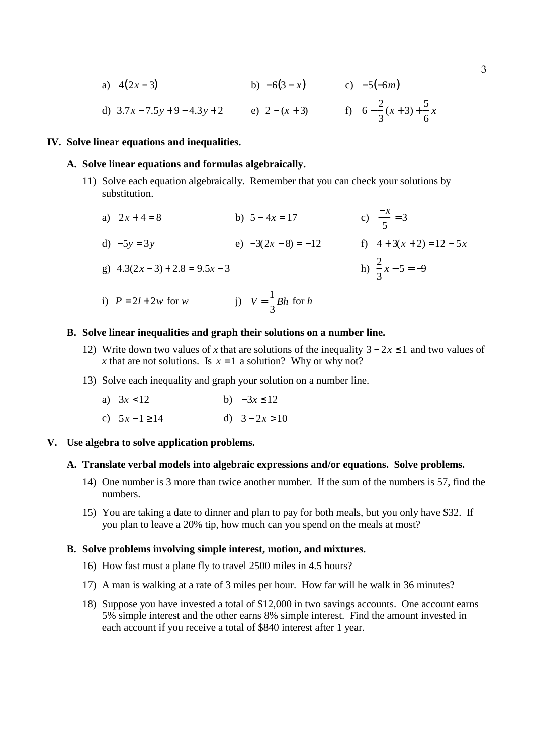a) 
$$
4(2x-3)
$$
 b)  $-6(3-x)$  c)  $-5(-6m)$ 

d) 
$$
3.7x - 7.5y + 9 - 4.3y + 2
$$
 e)  $2 - (x + 3)$  f)  $6 - \frac{2}{3}(x + 3) + \frac{5}{6}x$ 

#### **IV. Solve linear equations and inequalities.**

#### **A. Solve linear equations and formulas algebraically.**

- 11) Solve each equation algebraically. Remember that you can check your solutions by substitution.
	- a)  $2x + 4 = 8$  b)  $5 4x = 17$ 5 = 3 d)  $-5y = 3y$  e)  $-3(2x - 8) = -12$  f)  $4 + 3(x + 2) = 12 - 5x$ g)  $4.3(2x-3) + 2.8 = 9.5x - 3$ 3 *x* − 5 = −9 i)  $P = 2l + 2w$  for *w* j)  $V = \frac{1}{2}$ 3 *Bh* for *h*

#### **B. Solve linear inequalities and graph their solutions on a number line.**

- 12) Write down two values of *x* that are solutions of the inequality  $3 2x \le 1$  and two values of *x* that are not solutions. Is  $x = 1$  a solution? Why or why not?
- 13) Solve each inequality and graph your solution on a number line.

| a) $3x < 12$     | b) $-3x \le 12$  |
|------------------|------------------|
| c) $5x-1 \ge 14$ | d) $3 - 2x > 10$ |

# **V. Use algebra to solve application problems.**

#### **A. Translate verbal models into algebraic expressions and/or equations. Solve problems.**

- 14) One number is 3 more than twice another number. If the sum of the numbers is 57, find the numbers.
- 15) You are taking a date to dinner and plan to pay for both meals, but you only have \$32. If you plan to leave a 20% tip, how much can you spend on the meals at most?

#### **B. Solve problems involving simple interest, motion, and mixtures.**

- 16) How fast must a plane fly to travel 2500 miles in 4.5 hours?
- 17) A man is walking at a rate of 3 miles per hour. How far will he walk in 36 minutes?
- 18) Suppose you have invested a total of \$12,000 in two savings accounts. One account earns 5% simple interest and the other earns 8% simple interest. Find the amount invested in each account if you receive a total of \$840 interest after 1 year.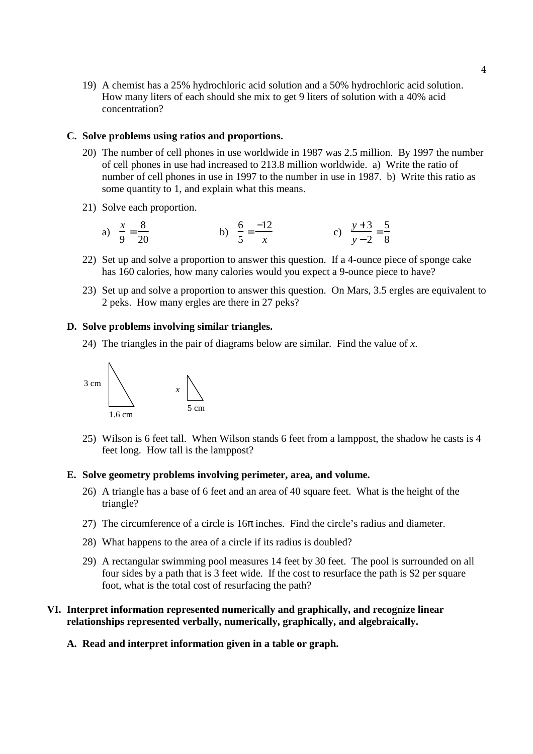19) A chemist has a 25% hydrochloric acid solution and a 50% hydrochloric acid solution. How many liters of each should she mix to get 9 liters of solution with a 40% acid concentration?

#### **C. Solve problems using ratios and proportions.**

- 20) The number of cell phones in use worldwide in 1987 was 2.5 million. By 1997 the number of cell phones in use had increased to 213.8 million worldwide. a) Write the ratio of number of cell phones in use in 1997 to the number in use in 1987. b) Write this ratio as some quantity to 1, and explain what this means.
- 21) Solve each proportion.
	- a)  $\frac{x}{2}$ 9  $=\frac{8}{36}$ 20 b)  $\frac{6}{5}$ 5  $=\frac{-12}{1}$ *x* c)  $\frac{y+3}{2}$ *y* − 2  $=\frac{5}{3}$ 8
- 22) Set up and solve a proportion to answer this question. If a 4-ounce piece of sponge cake has 160 calories, how many calories would you expect a 9-ounce piece to have?
- 23) Set up and solve a proportion to answer this question. On Mars, 3.5 ergles are equivalent to 2 peks. How many ergles are there in 27 peks?

#### **D. Solve problems involving similar triangles.**

24) The triangles in the pair of diagrams below are similar. Find the value of *x*.



25) Wilson is 6 feet tall. When Wilson stands 6 feet from a lamppost, the shadow he casts is 4 feet long. How tall is the lamppost?

#### **E. Solve geometry problems involving perimeter, area, and volume.**

- 26) A triangle has a base of 6 feet and an area of 40 square feet. What is the height of the triangle?
- 27) The circumference of a circle is  $16\pi$  inches. Find the circle's radius and diameter.
- 28) What happens to the area of a circle if its radius is doubled?
- 29) A rectangular swimming pool measures 14 feet by 30 feet. The pool is surrounded on all four sides by a path that is 3 feet wide. If the cost to resurface the path is \$2 per square foot, what is the total cost of resurfacing the path?

## **VI. Interpret information represented numerically and graphically, and recognize linear relationships represented verbally, numerically, graphically, and algebraically.**

**A. Read and interpret information given in a table or graph.**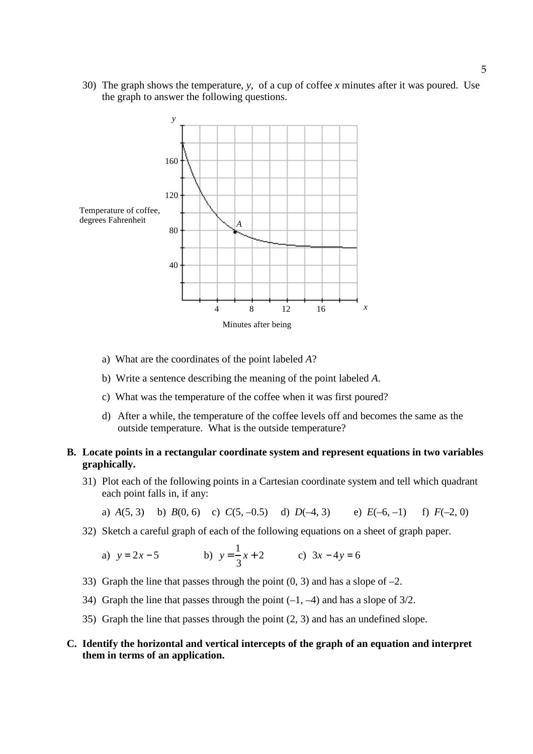30) The graph shows the temperature, *y*, of a cup of coffee *x* minutes after it was poured. Use the graph to answer the following questions.



- a) What are the coordinates of the point labeled *A*?
- b) Write a sentence describing the meaning of the point labeled *A*.
- c) What was the temperature of the coffee when it was first poured?
- d) After a while, the temperature of the coffee levels off and becomes the same as the outside temperature. What is the outside temperature?

# **B. Locate points in a rectangular coordinate system and represent equations in two variables graphically.**

31) Plot each of the following points in a Cartesian coordinate system and tell which quadrant each point falls in, if any:

a) 
$$
A(5, 3)
$$
 b)  $B(0, 6)$  c)  $C(5, -0.5)$  d)  $D(-4, 3)$  e)  $E(-6, -1)$  f)  $F(-2, 0)$ 

32) Sketch a careful graph of each of the following equations on a sheet of graph paper.

a)  $y = 2x - 5$ 1 3 *x* + 2 c) 3*x* − 4*y* = 6

- 33) Graph the line that passes through the point  $(0, 3)$  and has a slope of  $-2$ .
- 34) Graph the line that passes through the point  $(-1, -4)$  and has a slope of 3/2.
- 35) Graph the line that passes through the point (2, 3) and has an undefined slope.

## **C. Identify the horizontal and vertical intercepts of the graph of an equation and interpret them in terms of an application.**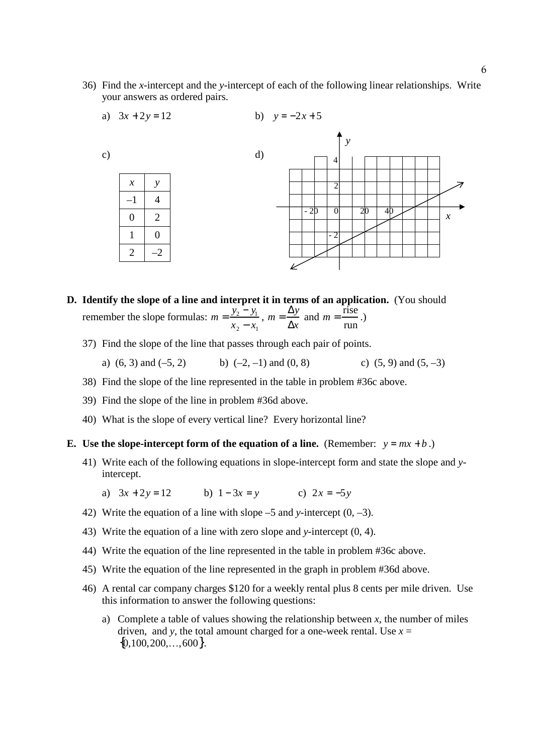36) Find the *x*-intercept and the *y*-intercept of each of the following linear relationships. Write your answers as ordered pairs.



- **D. Identify the slope of a line and interpret it in terms of an application.** (You should remember the slope formulas:  $m = \frac{y_2 - y_1}{y_2 - y_1}$  $x_2 - x_1$  $m = \frac{\Delta y}{4}$ ∆*x* and  $m = \frac{\text{rise}}{ }$ run .)
	- 37) Find the slope of the line that passes through each pair of points.
		- a) (6, 3) and (-5, 2) b) (-2, -1) and (0, 8) c) (5, 9) and (5, -3)
	- 38) Find the slope of the line represented in the table in problem #36c above.
	- 39) Find the slope of the line in problem #36d above.
	- 40) What is the slope of every vertical line? Every horizontal line?

#### **E.** Use the slope-intercept form of the equation of a line. (Remember:  $y = mx + b$ .)

- 41) Write each of the following equations in slope-intercept form and state the slope and *y*intercept.
	- a)  $3x + 2y = 12$  b)  $1 3x = y$  c)  $2x = -5y$
- 42) Write the equation of a line with slope –5 and *y*-intercept (0, –3).
- 43) Write the equation of a line with zero slope and *y*-intercept (0, 4).
- 44) Write the equation of the line represented in the table in problem #36c above.
- 45) Write the equation of the line represented in the graph in problem #36d above.
- 46) A rental car company charges \$120 for a weekly rental plus 8 cents per mile driven. Use this information to answer the following questions:
	- a) Complete a table of values showing the relationship between  $x$ , the number of miles driven, and *y*, the total amount charged for a one-week rental. Use  $x =$  ${0,100,200,...,600}.$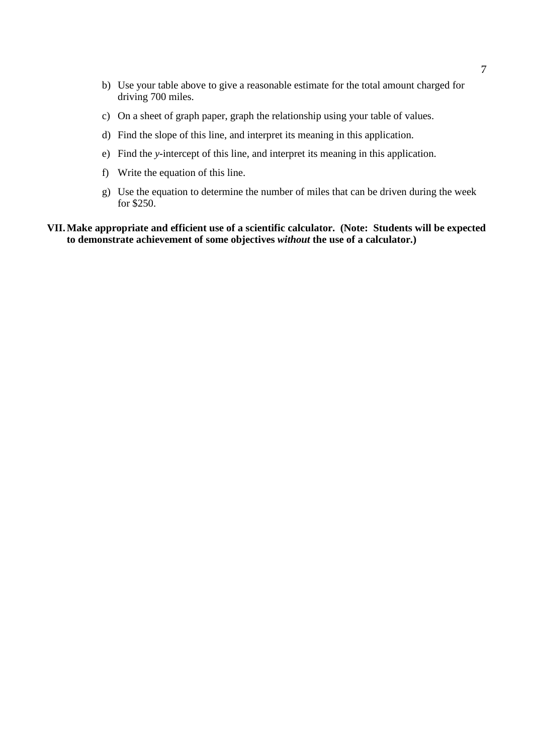- b) Use your table above to give a reasonable estimate for the total amount charged for driving 700 miles.
- c) On a sheet of graph paper, graph the relationship using your table of values.
- d) Find the slope of this line, and interpret its meaning in this application.
- e) Find the *y*-intercept of this line, and interpret its meaning in this application.
- f) Write the equation of this line.
- g) Use the equation to determine the number of miles that can be driven during the week for \$250.

## **VII. Make appropriate and efficient use of a scientific calculator. (Note: Students will be expected to demonstrate achievement of some objectives** *without* **the use of a calculator.)**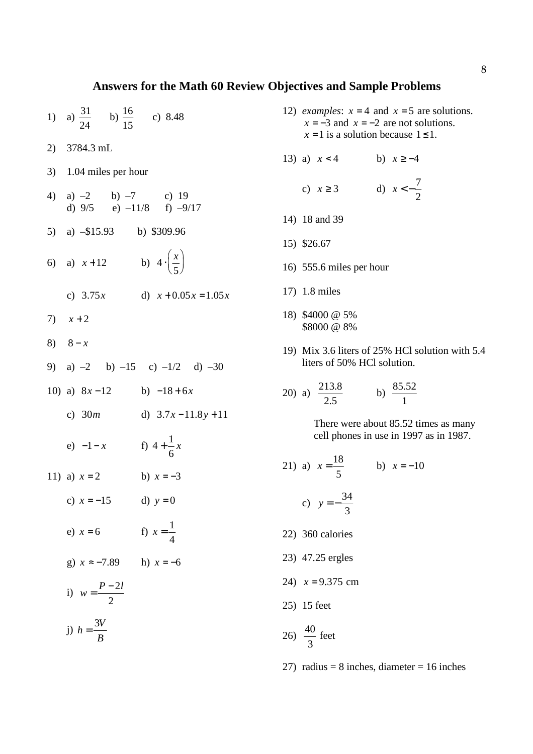## **Answers for the Math 60 Review Objectives and Sample Problems**

- 1) a)  $\frac{31}{21}$ 24 b)  $\frac{16}{15}$ 15 c) 8.48
- 2) 3784.3 mL
- 3) 1.04 miles per hour
- 4) a)  $-2$  b)  $-7$  c) 19 d)  $9/5$  e)  $-11/8$  f)  $-9/17$
- 5) a) –\$15.93 b) \$309.96
- 6) a)  $x+12$ *x* 5 ſ  $\setminus$  $\backslash$  $\int$ 
	- c)  $3.75x$  d)  $x + 0.05x = 1.05x$
- 7)  $x + 2$
- 8)  $8 x$
- 9) a)  $-2$  b)  $-15$  c)  $-1/2$  d)  $-30$
- 10) a) 8*x* −12 b) −18 + 6*x*
	- c) 30*m* d) 3.7*x* −11.8*y* +11
- e)  $-1-x$  f)  $4+\frac{1}{5}$ 6 *x*
- 11) a)  $x = 2$  b)  $x = -3$ 
	- c)  $x = -15$  d)  $y = 0$
- e)  $x = 6$  f)  $x = \frac{1}{4}$ 4
	- g)  $x \approx -7.89$  h)  $x = -6$
- i)  $w = \frac{P 2l}{2}$ 2
- j)  $h = \frac{3V}{R}$ *B*
- 12) *examples*:  $x = 4$  and  $x = 5$  are solutions.  $x = -3$  and  $x = -2$  are not solutions.  $x = 1$  is a solution because  $1 \le 1$ .
- 13) a)  $x < 4$  b)  $x \ge -4$
- c)  $x \ge 3$  d)  $x < -\frac{7}{3}$ 2
- 14) 18 and 39
- 15) \$26.67
- 16) 555.6 miles per hour
- 17) 1.8 miles
- 18) \$4000 @ 5% \$8000 @ 8%
- 19) Mix 3.6 liters of 25% HCl solution with 5.4 liters of 50% HCl solution.

20) a) 
$$
\frac{213.8}{2.5}
$$
 b)  $\frac{85.52}{1}$ 

There were about 85.52 times as many cell phones in use in 1997 as in 1987.

- 21) a)  $x = \frac{18}{5}$ 5 b)  $x = -10$ c)  $y = -\frac{34}{3}$ 3 22) 360 calories 23) 47.25 ergles
- 24)  $x = 9.375$  cm
- 25) 15 feet
- 26)  $\frac{40}{9}$ 3 feet
- 27) radius = 8 inches, diameter =  $16$  inches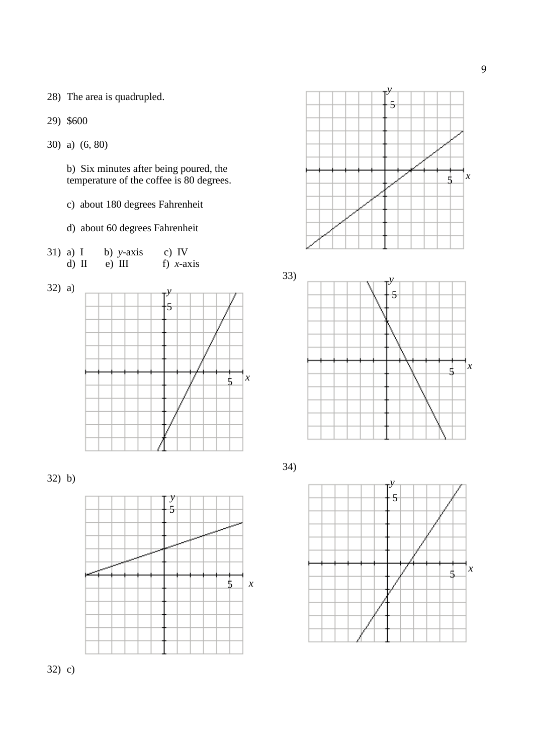28) The area is quadrupled.

29) \$600

30) a) (6, 80)

 b) Six minutes after being poured, the temperature of the coffee is 80 degrees.

c) about 180 degrees Fahrenheit

d) about 60 degrees Fahrenheit

| $31)$ a) I | b) $y-axis$ | c) IV        |
|------------|-------------|--------------|
| $d)$ II    | $e)$ III    | f) $x$ -axis |

32) a)



32) b)





33)



34)



32) c)